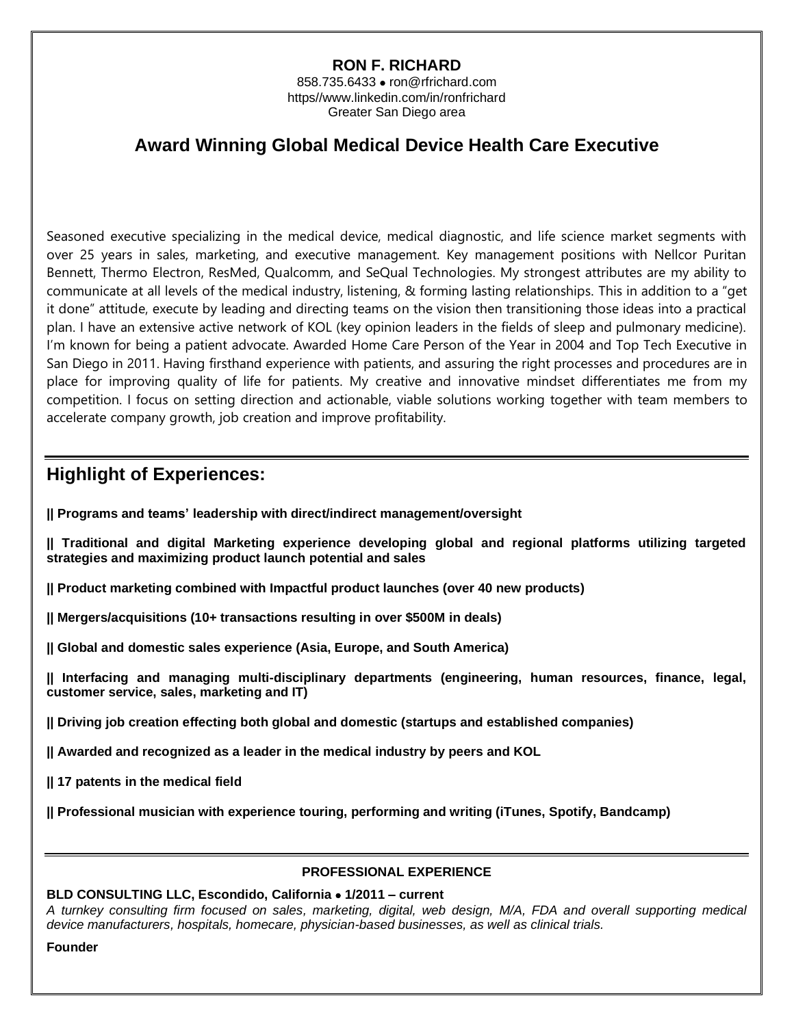## **RON F. RICHARD**

858.735.6433 • ron@rfrichard.com https//www.linkedin.com/in/ronfrichard Greater San Diego area

# **Award Winning Global Medical Device Health Care Executive**

Seasoned executive specializing in the medical device, medical diagnostic, and life science market segments with over 25 years in sales, marketing, and executive management. Key management positions with Nellcor Puritan Bennett, Thermo Electron, ResMed, Qualcomm, and SeQual Technologies. My strongest attributes are my ability to communicate at all levels of the medical industry, listening, & forming lasting relationships. This in addition to a "get it done" attitude, execute by leading and directing teams on the vision then transitioning those ideas into a practical plan. I have an extensive active network of KOL (key opinion leaders in the fields of sleep and pulmonary medicine). I'm known for being a patient advocate. Awarded Home Care Person of the Year in 2004 and Top Tech Executive in San Diego in 2011. Having firsthand experience with patients, and assuring the right processes and procedures are in place for improving quality of life for patients. My creative and innovative mindset differentiates me from my competition. I focus on setting direction and actionable, viable solutions working together with team members to accelerate company growth, job creation and improve profitability.

# **Highlight of Experiences:**

**|| Programs and teams' leadership with direct/indirect management/oversight** 

- **|| Traditional and digital Marketing experience developing global and regional platforms utilizing targeted strategies and maximizing product launch potential and sales**
- **|| Product marketing combined with Impactful product launches (over 40 new products)**
- **|| Mergers/acquisitions (10+ transactions resulting in over \$500M in deals)**
- **|| Global and domestic sales experience (Asia, Europe, and South America)**

**|| Interfacing and managing multi-disciplinary departments (engineering, human resources, finance, legal, customer service, sales, marketing and IT)** 

**|| Driving job creation effecting both global and domestic (startups and established companies)** 

**|| Awarded and recognized as a leader in the medical industry by peers and KOL**

**|| 17 patents in the medical field** 

**|| Professional musician with experience touring, performing and writing (iTunes, Spotify, Bandcamp)** 

#### **PROFESSIONAL EXPERIENCE**

### **BLD CONSULTING LLC, Escondido, California** • **1/2011 – current**

*A turnkey consulting firm focused on sales, marketing, digital, web design, M/A, FDA and overall supporting medical device manufacturers, hospitals, homecare, physician-based businesses, as well as clinical trials.* 

#### **Founder**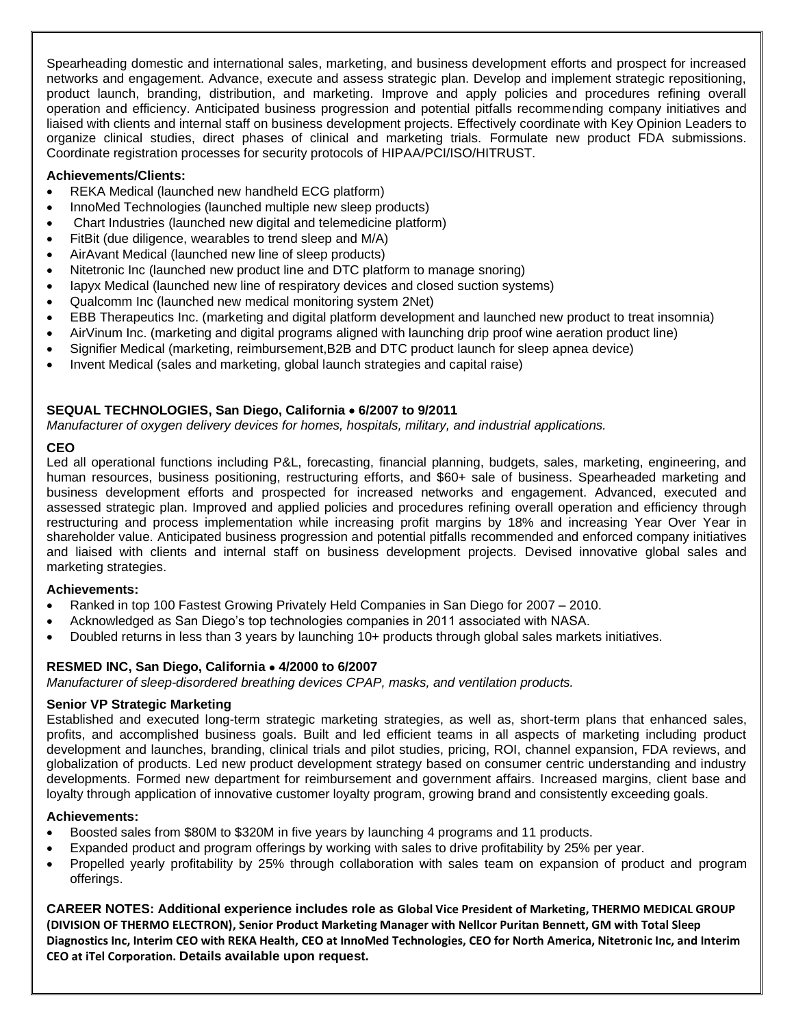Spearheading domestic and international sales, marketing, and business development efforts and prospect for increased networks and engagement. Advance, execute and assess strategic plan. Develop and implement strategic repositioning, product launch, branding, distribution, and marketing. Improve and apply policies and procedures refining overall operation and efficiency. Anticipated business progression and potential pitfalls recommending company initiatives and liaised with clients and internal staff on business development projects. Effectively coordinate with Key Opinion Leaders to organize clinical studies, direct phases of clinical and marketing trials. Formulate new product FDA submissions. Coordinate registration processes for security protocols of HIPAA/PCI/ISO/HITRUST.

### **Achievements/Clients:**

- REKA Medical (launched new handheld ECG platform)
- InnoMed Technologies (launched multiple new sleep products)
- Chart Industries (launched new digital and telemedicine platform)
- FitBit (due diligence, wearables to trend sleep and M/A)
- AirAvant Medical (launched new line of sleep products)
- Nitetronic Inc (launched new product line and DTC platform to manage snoring)
- Iapyx Medical (launched new line of respiratory devices and closed suction systems)
- Qualcomm Inc (launched new medical monitoring system 2Net)
- EBB Therapeutics Inc. (marketing and digital platform development and launched new product to treat insomnia)
- AirVinum Inc. (marketing and digital programs aligned with launching drip proof wine aeration product line)
- Signifier Medical (marketing, reimbursement,B2B and DTC product launch for sleep apnea device)
- Invent Medical (sales and marketing, global launch strategies and capital raise)

## **SEQUAL TECHNOLOGIES, San Diego, California** • **6/2007 to 9/2011**

*Manufacturer of oxygen delivery devices for homes, hospitals, military, and industrial applications.*

## **CEO**

Led all operational functions including P&L, forecasting, financial planning, budgets, sales, marketing, engineering, and human resources, business positioning, restructuring efforts, and \$60+ sale of business. Spearheaded marketing and business development efforts and prospected for increased networks and engagement. Advanced, executed and assessed strategic plan. Improved and applied policies and procedures refining overall operation and efficiency through restructuring and process implementation while increasing profit margins by 18% and increasing Year Over Year in shareholder value. Anticipated business progression and potential pitfalls recommended and enforced company initiatives and liaised with clients and internal staff on business development projects. Devised innovative global sales and marketing strategies.

#### **Achievements:**

- Ranked in top 100 Fastest Growing Privately Held Companies in San Diego for 2007 2010.
- Acknowledged as San Diego's top technologies companies in 2011 associated with NASA.
- Doubled returns in less than 3 years by launching 10+ products through global sales markets initiatives.

## **RESMED INC, San Diego, California** • **4/2000 to 6/2007**

*Manufacturer of sleep-disordered breathing devices CPAP, masks, and ventilation products.*

#### **Senior VP Strategic Marketing**

Established and executed long-term strategic marketing strategies, as well as, short-term plans that enhanced sales, profits, and accomplished business goals. Built and led efficient teams in all aspects of marketing including product development and launches, branding, clinical trials and pilot studies, pricing, ROI, channel expansion, FDA reviews, and globalization of products. Led new product development strategy based on consumer centric understanding and industry developments. Formed new department for reimbursement and government affairs. Increased margins, client base and loyalty through application of innovative customer loyalty program, growing brand and consistently exceeding goals.

#### **Achievements:**

- Boosted sales from \$80M to \$320M in five years by launching 4 programs and 11 products.
- Expanded product and program offerings by working with sales to drive profitability by 25% per year.
- Propelled yearly profitability by 25% through collaboration with sales team on expansion of product and program offerings.

**CAREER NOTES: Additional experience includes role as Global Vice President of Marketing, THERMO MEDICAL GROUP (DIVISION OF THERMO ELECTRON), Senior Product Marketing Manager with Nellcor Puritan Bennett, GM with Total Sleep Diagnostics Inc, Interim CEO with REKA Health, CEO at InnoMed Technologies, CEO for North America, Nitetronic Inc, and Interim CEO at iTel Corporation. Details available upon request.**